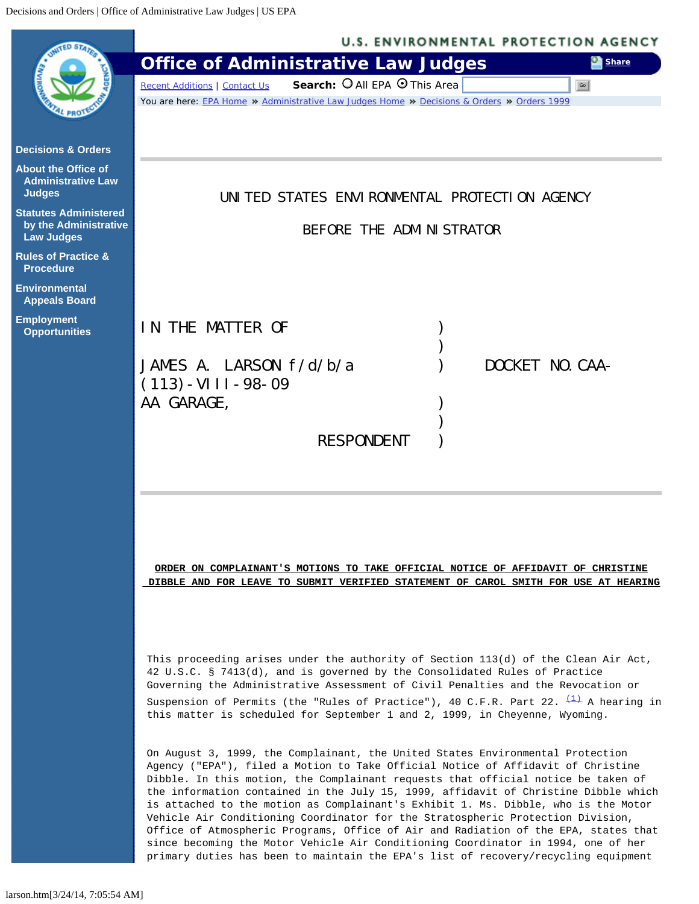<span id="page-0-0"></span>

|                                                                            | <b>U.S. ENVIRONMENTAL PROTECTION AGENCY</b>                                                                                                                                                                                                                                                                                                                                                                                                                                                                                                                                                                                                                                                                                                                                               |
|----------------------------------------------------------------------------|-------------------------------------------------------------------------------------------------------------------------------------------------------------------------------------------------------------------------------------------------------------------------------------------------------------------------------------------------------------------------------------------------------------------------------------------------------------------------------------------------------------------------------------------------------------------------------------------------------------------------------------------------------------------------------------------------------------------------------------------------------------------------------------------|
|                                                                            | <b>Office of Administrative Law Judges</b><br>Share                                                                                                                                                                                                                                                                                                                                                                                                                                                                                                                                                                                                                                                                                                                                       |
|                                                                            | Search: O All EPA O This Area<br><b>Recent Additions   Contact Us</b><br>Go                                                                                                                                                                                                                                                                                                                                                                                                                                                                                                                                                                                                                                                                                                               |
|                                                                            | You are here: EPA Home * Administrative Law Judges Home * Decisions & Orders * Orders 1999                                                                                                                                                                                                                                                                                                                                                                                                                                                                                                                                                                                                                                                                                                |
| <b>Decisions &amp; Orders</b>                                              |                                                                                                                                                                                                                                                                                                                                                                                                                                                                                                                                                                                                                                                                                                                                                                                           |
| <b>About the Office of</b><br><b>Administrative Law</b><br><b>Judges</b>   | UNITED STATES ENVIRONMENTAL PROTECTION AGENCY                                                                                                                                                                                                                                                                                                                                                                                                                                                                                                                                                                                                                                                                                                                                             |
| <b>Statutes Administered</b><br>by the Administrative<br><b>Law Judges</b> | BEFORE THE ADMINISTRATOR                                                                                                                                                                                                                                                                                                                                                                                                                                                                                                                                                                                                                                                                                                                                                                  |
| <b>Rules of Practice &amp;</b><br><b>Procedure</b>                         |                                                                                                                                                                                                                                                                                                                                                                                                                                                                                                                                                                                                                                                                                                                                                                                           |
| <b>Environmental</b><br><b>Appeals Board</b>                               |                                                                                                                                                                                                                                                                                                                                                                                                                                                                                                                                                                                                                                                                                                                                                                                           |
| <b>Employment</b><br><b>Opportunities</b>                                  | IN THE MATTER OF                                                                                                                                                                                                                                                                                                                                                                                                                                                                                                                                                                                                                                                                                                                                                                          |
|                                                                            | JAMES A. LARSON $f/d/b/a$<br>DOCKET NO. CAA-                                                                                                                                                                                                                                                                                                                                                                                                                                                                                                                                                                                                                                                                                                                                              |
|                                                                            | $(113)$ - VIII - 98-09                                                                                                                                                                                                                                                                                                                                                                                                                                                                                                                                                                                                                                                                                                                                                                    |
|                                                                            | AA GARAGE,                                                                                                                                                                                                                                                                                                                                                                                                                                                                                                                                                                                                                                                                                                                                                                                |
|                                                                            | <b>RESPONDENT</b>                                                                                                                                                                                                                                                                                                                                                                                                                                                                                                                                                                                                                                                                                                                                                                         |
|                                                                            |                                                                                                                                                                                                                                                                                                                                                                                                                                                                                                                                                                                                                                                                                                                                                                                           |
|                                                                            |                                                                                                                                                                                                                                                                                                                                                                                                                                                                                                                                                                                                                                                                                                                                                                                           |
|                                                                            |                                                                                                                                                                                                                                                                                                                                                                                                                                                                                                                                                                                                                                                                                                                                                                                           |
|                                                                            |                                                                                                                                                                                                                                                                                                                                                                                                                                                                                                                                                                                                                                                                                                                                                                                           |
|                                                                            |                                                                                                                                                                                                                                                                                                                                                                                                                                                                                                                                                                                                                                                                                                                                                                                           |
|                                                                            | ORDER ON COMPLAINANT'S MOTIONS TO TAKE OFFICIAL NOTICE OF AFFIDAVIT OF CHRISTINE                                                                                                                                                                                                                                                                                                                                                                                                                                                                                                                                                                                                                                                                                                          |
|                                                                            | DIBBLE AND FOR LEAVE TO SUBMIT VERIFIED STATEMENT OF CAROL SMITH FOR USE AT HEARING                                                                                                                                                                                                                                                                                                                                                                                                                                                                                                                                                                                                                                                                                                       |
|                                                                            |                                                                                                                                                                                                                                                                                                                                                                                                                                                                                                                                                                                                                                                                                                                                                                                           |
|                                                                            |                                                                                                                                                                                                                                                                                                                                                                                                                                                                                                                                                                                                                                                                                                                                                                                           |
|                                                                            | This proceeding arises under the authority of Section 113(d) of the Clean Air Act,<br>42 U.S.C. § 7413(d), and is governed by the Consolidated Rules of Practice<br>Governing the Administrative Assessment of Civil Penalties and the Revocation or                                                                                                                                                                                                                                                                                                                                                                                                                                                                                                                                      |
|                                                                            | Suspension of Permits (the "Rules of Practice"), 40 C.F.R. Part 22. $\frac{(1)}{(1)}$ A hearing in<br>this matter is scheduled for September 1 and 2, 1999, in Cheyenne, Wyoming.                                                                                                                                                                                                                                                                                                                                                                                                                                                                                                                                                                                                         |
|                                                                            | On August 3, 1999, the Complainant, the United States Environmental Protection<br>Agency ("EPA"), filed a Motion to Take Official Notice of Affidavit of Christine<br>Dibble. In this motion, the Complainant requests that official notice be taken of<br>the information contained in the July 15, 1999, affidavit of Christine Dibble which<br>is attached to the motion as Complainant's Exhibit 1. Ms. Dibble, who is the Motor<br>Vehicle Air Conditioning Coordinator for the Stratospheric Protection Division,<br>Office of Atmospheric Programs, Office of Air and Radiation of the EPA, states that<br>since becoming the Motor Vehicle Air Conditioning Coordinator in 1994, one of her<br>primary duties has been to maintain the EPA's list of recovery/recycling equipment |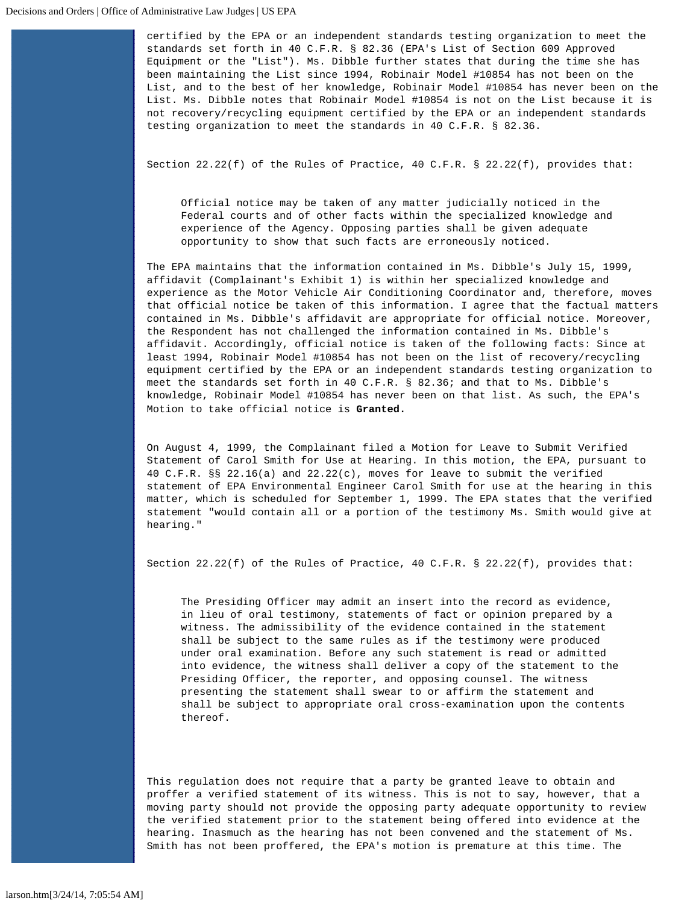certified by the EPA or an independent standards testing organization to meet the standards set forth in 40 C.F.R. § 82.36 (EPA's List of Section 609 Approved Equipment or the "List"). Ms. Dibble further states that during the time she has been maintaining the List since 1994, Robinair Model #10854 has not been on the List, and to the best of her knowledge, Robinair Model #10854 has never been on the List. Ms. Dibble notes that Robinair Model #10854 is not on the List because it is not recovery/recycling equipment certified by the EPA or an independent standards testing organization to meet the standards in 40 C.F.R. § 82.36.

Section  $22.22(f)$  of the Rules of Practice, 40 C.F.R. §  $22.22(f)$ , provides that:

Official notice may be taken of any matter judicially noticed in the Federal courts and of other facts within the specialized knowledge and experience of the Agency. Opposing parties shall be given adequate opportunity to show that such facts are erroneously noticed.

The EPA maintains that the information contained in Ms. Dibble's July 15, 1999, affidavit (Complainant's Exhibit 1) is within her specialized knowledge and experience as the Motor Vehicle Air Conditioning Coordinator and, therefore, moves that official notice be taken of this information. I agree that the factual matters contained in Ms. Dibble's affidavit are appropriate for official notice. Moreover, the Respondent has not challenged the information contained in Ms. Dibble's affidavit. Accordingly, official notice is taken of the following facts: Since at least 1994, Robinair Model #10854 has not been on the list of recovery/recycling equipment certified by the EPA or an independent standards testing organization to meet the standards set forth in 40 C.F.R. § 82.36; and that to Ms. Dibble's knowledge, Robinair Model #10854 has never been on that list. As such, the EPA's Motion to take official notice is **Granted.**

On August 4, 1999, the Complainant filed a Motion for Leave to Submit Verified Statement of Carol Smith for Use at Hearing. In this motion, the EPA, pursuant to 40 C.F.R. §§ 22.16(a) and 22.22(c), moves for leave to submit the verified statement of EPA Environmental Engineer Carol Smith for use at the hearing in this matter, which is scheduled for September 1, 1999. The EPA states that the verified statement "would contain all or a portion of the testimony Ms. Smith would give at hearing."

Section  $22.22(f)$  of the Rules of Practice, 40 C.F.R. §  $22.22(f)$ , provides that:

The Presiding Officer may admit an insert into the record as evidence, in lieu of oral testimony, statements of fact or opinion prepared by a witness. The admissibility of the evidence contained in the statement shall be subject to the same rules as if the testimony were produced under oral examination. Before any such statement is read or admitted into evidence, the witness shall deliver a copy of the statement to the Presiding Officer, the reporter, and opposing counsel. The witness presenting the statement shall swear to or affirm the statement and shall be subject to appropriate oral cross-examination upon the contents thereof.

This regulation does not require that a party be granted leave to obtain and proffer a verified statement of its witness. This is not to say, however, that a moving party should not provide the opposing party adequate opportunity to review the verified statement prior to the statement being offered into evidence at the hearing. Inasmuch as the hearing has not been convened and the statement of Ms. Smith has not been proffered, the EPA's motion is premature at this time. The